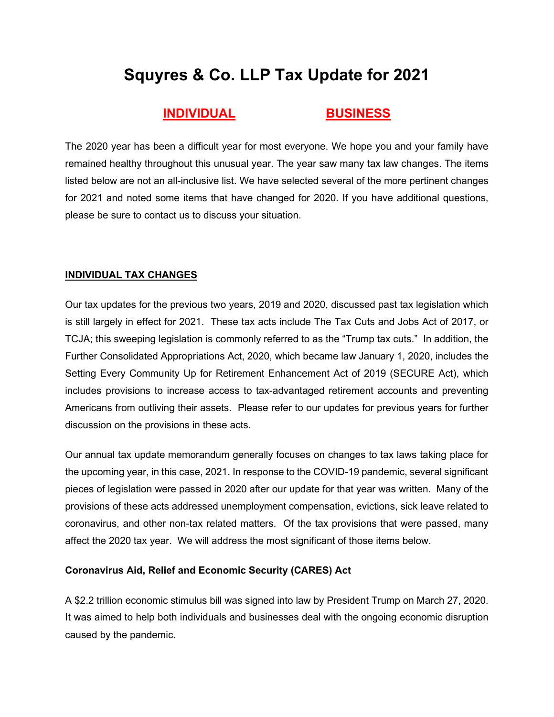# **Squyres & Co. LLP Tax Update for 2021**

# **INDIVIDUAL [BUSINESS](#page-3-0)**

The 2020 year has been a difficult year for most everyone. We hope you and your family have remained healthy throughout this unusual year. The year saw many tax law changes. The items listed below are not an all-inclusive list. We have selected several of the more pertinent changes for 2021 and noted some items that have changed for 2020. If you have additional questions, please be sure to contact us to discuss your situation.

# **INDIVIDUAL TAX CHANGES**

Our tax updates for the previous two years, 2019 and 2020, discussed past tax legislation which is still largely in effect for 2021. These tax acts include The Tax Cuts and Jobs Act of 2017, or TCJA; this sweeping legislation is commonly referred to as the "Trump tax cuts." In addition, the Further Consolidated Appropriations Act, 2020, which became law January 1, 2020, includes the Setting Every Community Up for Retirement Enhancement Act of 2019 (SECURE Act), which includes provisions to increase access to tax-advantaged retirement accounts and preventing Americans from outliving their assets. Please refer to our updates for previous years for further discussion on the provisions in these acts.

Our annual tax update memorandum generally focuses on changes to tax laws taking place for the upcoming year, in this case, 2021. In response to the COVID-19 pandemic, several significant pieces of legislation were passed in 2020 after our update for that year was written. Many of the provisions of these acts addressed unemployment compensation, evictions, sick leave related to coronavirus, and other non-tax related matters. Of the tax provisions that were passed, many affect the 2020 tax year. We will address the most significant of those items below.

# **Coronavirus Aid, Relief and Economic Security (CARES) Act**

A \$2.2 trillion economic stimulus bill was signed into law by President Trump on March 27, 2020. It was aimed to help both individuals and businesses deal with the ongoing economic disruption caused by the pandemic.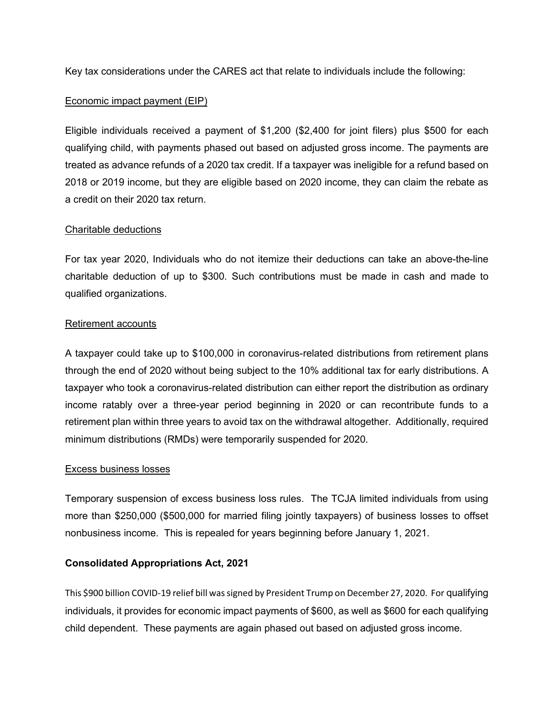Key tax considerations under the CARES act that relate to individuals include the following:

#### Economic impact payment (EIP)

Eligible individuals received a payment of \$1,200 (\$2,400 for joint filers) plus \$500 for each qualifying child, with payments phased out based on adjusted gross income. The payments are treated as advance refunds of a 2020 tax credit. If a taxpayer was ineligible for a refund based on 2018 or 2019 income, but they are eligible based on 2020 income, they can claim the rebate as a credit on their 2020 tax return.

#### Charitable deductions

For tax year 2020, Individuals who do not itemize their deductions can take an above-the-line charitable deduction of up to \$300. Such contributions must be made in cash and made to qualified organizations.

# Retirement accounts

A taxpayer could take up to \$100,000 in coronavirus-related distributions from retirement plans through the end of 2020 without being subject to the 10% additional tax for early distributions. A taxpayer who took a coronavirus-related distribution can either report the distribution as ordinary income ratably over a three-year period beginning in 2020 or can recontribute funds to a retirement plan within three years to avoid tax on the withdrawal altogether. Additionally, required minimum distributions (RMDs) were temporarily suspended for 2020.

#### Excess business losses

Temporary suspension of excess business loss rules. The TCJA limited individuals from using more than \$250,000 (\$500,000 for married filing jointly taxpayers) of business losses to offset nonbusiness income. This is repealed for years beginning before January 1, 2021.

#### **Consolidated Appropriations Act, 2021**

This \$900 billion COVID-19 relief bill was signed by President Trump on December 27, 2020. For qualifying individuals, it provides for economic impact payments of \$600, as well as \$600 for each qualifying child dependent. These payments are again phased out based on adjusted gross income.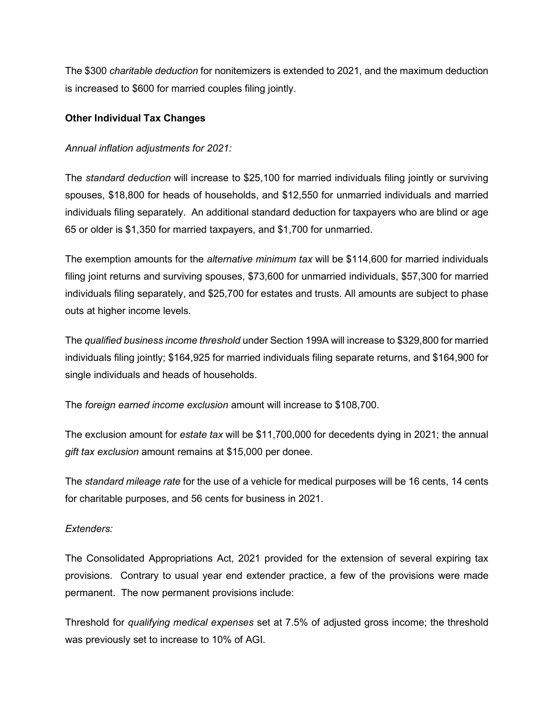The \$300 *charitable deduction* for nonitemizers is extended to 2021, and the maximum deduction is increased to \$600 for married couples filing jointly.

# **Other Individual Tax Changes**

#### *Annual inflation adjustments for 2021:*

The *standard deduction* will increase to \$25,100 for married individuals filing jointly or surviving spouses, \$18,800 for heads of households, and \$12,550 for unmarried individuals and married individuals filing separately. An additional standard deduction for taxpayers who are blind or age 65 or older is \$1,350 for married taxpayers, and \$1,700 for unmarried.

The exemption amounts for the *alternative minimum tax* will be \$114,600 for married individuals filing joint returns and surviving spouses, \$73,600 for unmarried individuals, \$57,300 for married individuals filing separately, and \$25,700 for estates and trusts. All amounts are subject to phase outs at higher income levels.

The *qualified business income threshold* under Section 199A will increase to \$329,800 for married individuals filing jointly; \$164,925 for married individuals filing separate returns, and \$164,900 for single individuals and heads of households.

The *foreign earned income exclusion* amount will increase to \$108,700.

The exclusion amount for *estate tax* will be \$11,700,000 for decedents dying in 2021; the annual *gift tax exclusion* amount remains at \$15,000 per donee.

The *standard mileage rate* for the use of a vehicle for medical purposes will be 16 cents, 14 cents for charitable purposes, and 56 cents for business in 2021.

# *Extenders:*

The Consolidated Appropriations Act, 2021 provided for the extension of several expiring tax provisions. Contrary to usual year end extender practice, a few of the provisions were made permanent. The now permanent provisions include:

Threshold for *qualifying medical expenses* set at 7.5% of adjusted gross income; the threshold was previously set to increase to 10% of AGI.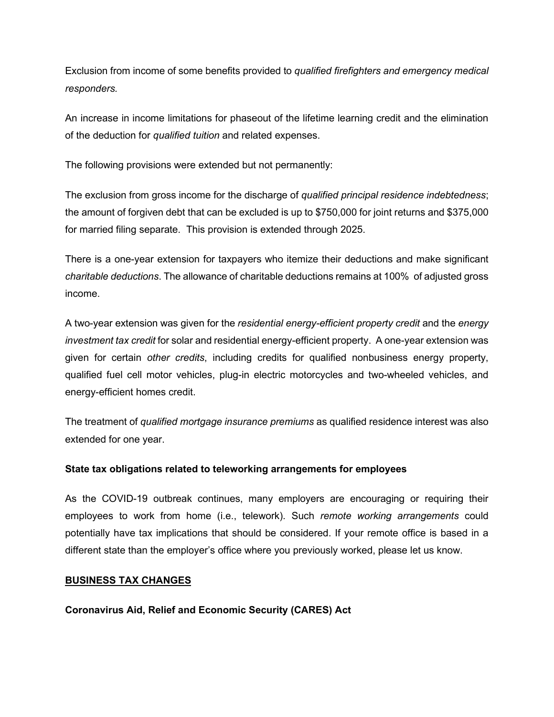<span id="page-3-0"></span>Exclusion from income of some benefits provided to *qualified firefighters and emergency medical responders.* 

An increase in income limitations for phaseout of the lifetime learning credit and the elimination of the deduction for *qualified tuition* and related expenses.

The following provisions were extended but not permanently:

The exclusion from gross income for the discharge of *qualified principal residence indebtedness*; the amount of forgiven debt that can be excluded is up to \$750,000 for joint returns and \$375,000 for married filing separate. This provision is extended through 2025.

There is a one-year extension for taxpayers who itemize their deductions and make significant *charitable deductions*. The allowance of charitable deductions remains at 100% of adjusted gross income.

A two-year extension was given for the *residential energy-efficient property credit* and the *energy investment tax credit* for solar and residential energy-efficient property. A one-year extension was given for certain *other credits*, including credits for qualified nonbusiness energy property, qualified fuel cell motor vehicles, plug-in electric motorcycles and two-wheeled vehicles, and energy-efficient homes credit.

The treatment of *qualified mortgage insurance premiums* as qualified residence interest was also extended for one year.

#### **State tax obligations related to teleworking arrangements for employees**

As the COVID-19 outbreak continues, many employers are encouraging or requiring their employees to work from home (i.e., telework). Such *remote working arrangements* could potentially have tax implications that should be considered. If your remote office is based in a different state than the employer's office where you previously worked, please let us know.

#### **BUSINESS TAX CHANGES**

**Coronavirus Aid, Relief and Economic Security (CARES) Act**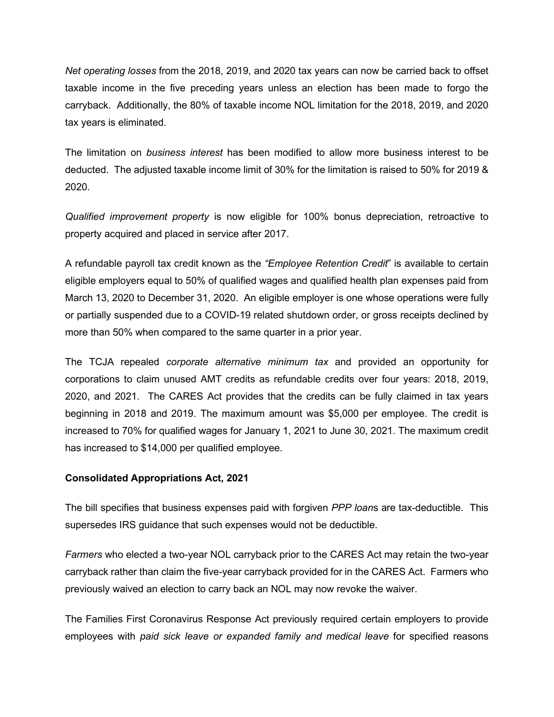*Net operating losses* from the 2018, 2019, and 2020 tax years can now be carried back to offset taxable income in the five preceding years unless an election has been made to forgo the carryback. Additionally, the 80% of taxable income NOL limitation for the 2018, 2019, and 2020 tax years is eliminated.

The limitation on *business interest* has been modified to allow more business interest to be deducted. The adjusted taxable income limit of 30% for the limitation is raised to 50% for 2019 & 2020.

*Qualified improvement property* is now eligible for 100% bonus depreciation, retroactive to property acquired and placed in service after 2017.

A refundable payroll tax credit known as the *"Employee Retention Credit*" is available to certain eligible employers equal to 50% of qualified wages and qualified health plan expenses paid from March 13, 2020 to December 31, 2020. An eligible employer is one whose operations were fully or partially suspended due to a COVID-19 related shutdown order, or gross receipts declined by more than 50% when compared to the same quarter in a prior year.

The TCJA repealed *corporate alternative minimum tax* and provided an opportunity for corporations to claim unused AMT credits as refundable credits over four years: 2018, 2019, 2020, and 2021. The CARES Act provides that the credits can be fully claimed in tax years beginning in 2018 and 2019. The maximum amount was \$5,000 per employee. The credit is increased to 70% for qualified wages for January 1, 2021 to June 30, 2021. The maximum credit has increased to \$14,000 per qualified employee.

#### **Consolidated Appropriations Act, 2021**

The bill specifies that business expenses paid with forgiven *PPP loan*s are tax-deductible. This supersedes IRS guidance that such expenses would not be deductible.

*Farmers* who elected a two-year NOL carryback prior to the CARES Act may retain the two-year carryback rather than claim the five-year carryback provided for in the CARES Act. Farmers who previously waived an election to carry back an NOL may now revoke the waiver.

The Families First Coronavirus Response Act previously required certain employers to provide employees with *paid sick leave or expanded family and medical leave* for specified reasons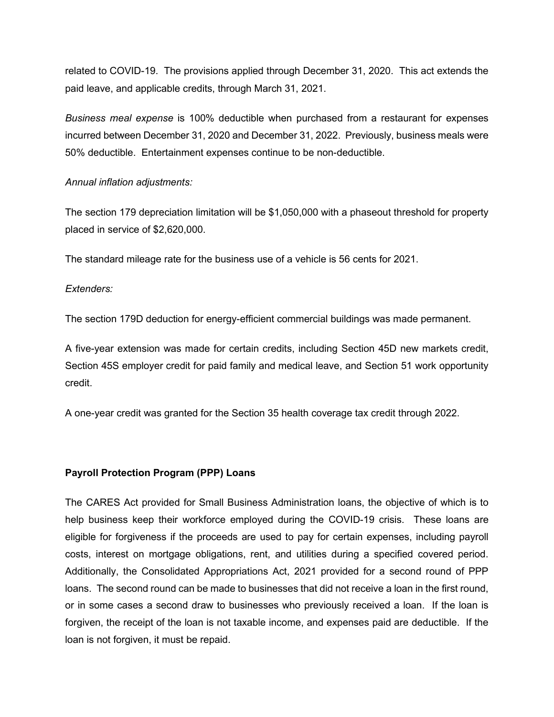related to COVID-19. The provisions applied through December 31, 2020. This act extends the paid leave, and applicable credits, through March 31, 2021.

*Business meal expense* is 100% deductible when purchased from a restaurant for expenses incurred between December 31, 2020 and December 31, 2022. Previously, business meals were 50% deductible. Entertainment expenses continue to be non-deductible.

#### *Annual inflation adjustments:*

The section 179 depreciation limitation will be \$1,050,000 with a phaseout threshold for property placed in service of \$2,620,000.

The standard mileage rate for the business use of a vehicle is 56 cents for 2021.

# *Extenders:*

The section 179D deduction for energy-efficient commercial buildings was made permanent.

A five-year extension was made for certain credits, including Section 45D new markets credit, Section 45S employer credit for paid family and medical leave, and Section 51 work opportunity credit.

A one-year credit was granted for the Section 35 health coverage tax credit through 2022.

#### **Payroll Protection Program (PPP) Loans**

The CARES Act provided for Small Business Administration loans, the objective of which is to help business keep their workforce employed during the COVID-19 crisis. These loans are eligible for forgiveness if the proceeds are used to pay for certain expenses, including payroll costs, interest on mortgage obligations, rent, and utilities during a specified covered period. Additionally, the Consolidated Appropriations Act, 2021 provided for a second round of PPP loans. The second round can be made to businesses that did not receive a loan in the first round, or in some cases a second draw to businesses who previously received a loan. If the loan is forgiven, the receipt of the loan is not taxable income, and expenses paid are deductible. If the loan is not forgiven, it must be repaid.